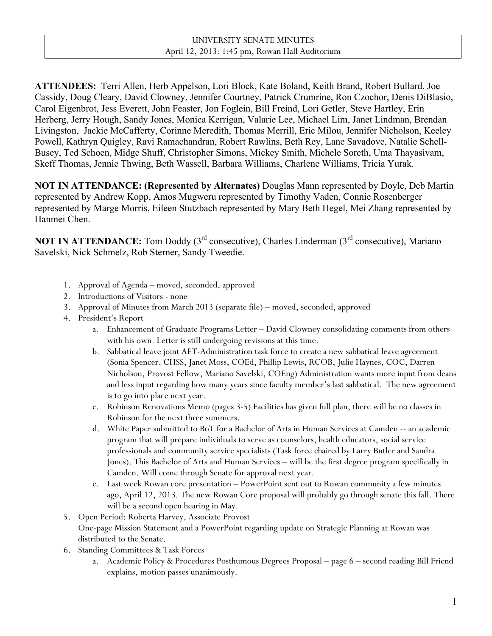**ATTENDEES:** Terri Allen, Herb Appelson, Lori Block, Kate Boland, Keith Brand, Robert Bullard, Joe Cassidy, Doug Cleary, David Clowney, Jennifer Courtney, Patrick Crumrine, Ron Czochor, Denis DiBlasio, Carol Eigenbrot, Jess Everett, John Feaster, Jon Foglein, Bill Freind, Lori Getler, Steve Hartley, Erin Herberg, Jerry Hough, Sandy Jones, Monica Kerrigan, Valarie Lee, Michael Lim, Janet Lindman, Brendan Livingston, Jackie McCafferty, Corinne Meredith, Thomas Merrill, Eric Milou, Jennifer Nicholson, Keeley Powell, Kathryn Quigley, Ravi Ramachandran, Robert Rawlins, Beth Rey, Lane Savadove, Natalie Schell-Busey, Ted Schoen, Midge Shuff, Christopher Simons, Mickey Smith, Michele Soreth, Uma Thayasivam, Skeff Thomas, Jennie Thwing, Beth Wassell, Barbara Williams, Charlene Williams, Tricia Yurak.

**NOT IN ATTENDANCE: (Represented by Alternates)** Douglas Mann represented by Doyle, Deb Martin represented by Andrew Kopp, Amos Mugweru represented by Timothy Vaden, Connie Rosenberger represented by Marge Morris, Eileen Stutzbach represented by Mary Beth Hegel, Mei Zhang represented by Hanmei Chen.

**NOT IN ATTENDANCE:** Tom Doddy (3<sup>rd</sup> consecutive), Charles Linderman (3<sup>rd</sup> consecutive), Mariano Savelski, Nick Schmelz, Rob Sterner, Sandy Tweedie.

- 1. Approval of Agenda moved, seconded, approved
- 2. Introductions of Visitors none
- 3. Approval of Minutes from March 2013 (separate file) moved, seconded, approved
- 4. President's Report
	- a. Enhancement of Graduate Programs Letter David Clowney consolidating comments from others with his own. Letter is still undergoing revisions at this time.
	- b. Sabbatical leave joint AFT-Administration task force to create a new sabbatical leave agreement (Sonia Spencer, CHSS, Janet Moss, COEd, Phillip Lewis, RCOB, Julie Haynes, COC, Darren Nicholson, Provost Fellow, Mariano Savelski, COEng) Administration wants more input from deans and less input regarding how many years since faculty member's last sabbatical. The new agreement is to go into place next year.
	- c. Robinson Renovations Memo (pages 3-5) Facilities has given full plan, there will be no classes in Robinson for the next three summers.
	- d. White Paper submitted to BoT for a Bachelor of Arts in Human Services at Camden -- an academic program that will prepare individuals to serve as counselors, health educators, social service professionals and community service specialists (Task force chaired by Larry Butler and Sandra Jones). This Bachelor of Arts and Human Services – will be the first degree program specifically in Camden. Will come through Senate for approval next year.
	- e. Last week Rowan core presentation PowerPoint sent out to Rowan community a few minutes ago, April 12, 2013. The new Rowan Core proposal will probably go through senate this fall. There will be a second open hearing in May.
- 5. Open Period: Roberta Harvey, Associate Provost One-page Mission Statement and a PowerPoint regarding update on Strategic Planning at Rowan was distributed to the Senate.
- 6. Standing Committees & Task Forces
	- a. Academic Policy & Procedures Posthumous Degrees Proposal page 6 second reading Bill Friend explains, motion passes unanimously.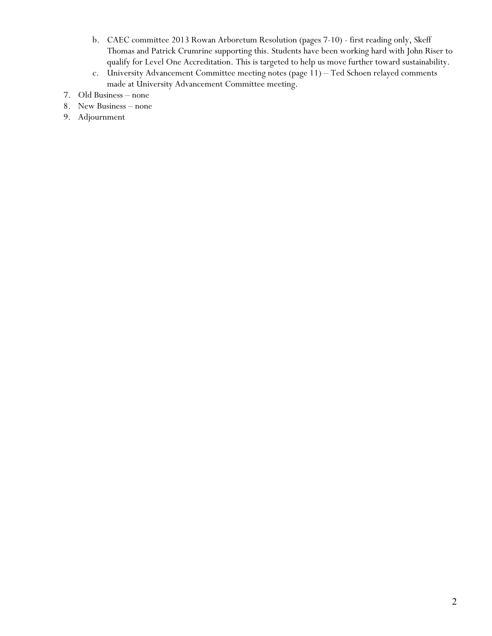- b. CAEC committee 2013 Rowan Arboretum Resolution (pages 7-10) first reading only, Skeff Thomas and Patrick Crumrine supporting this. Students have been working hard with John Riser to qualify for Level One Accreditation. This is targeted to help us move further toward sustainability.
- c. University Advancement Committee meeting notes (page 11) Ted Schoen relayed comments made at University Advancement Committee meeting.
- 7. Old Business none
- 8. New Business none
- 9. Adjournment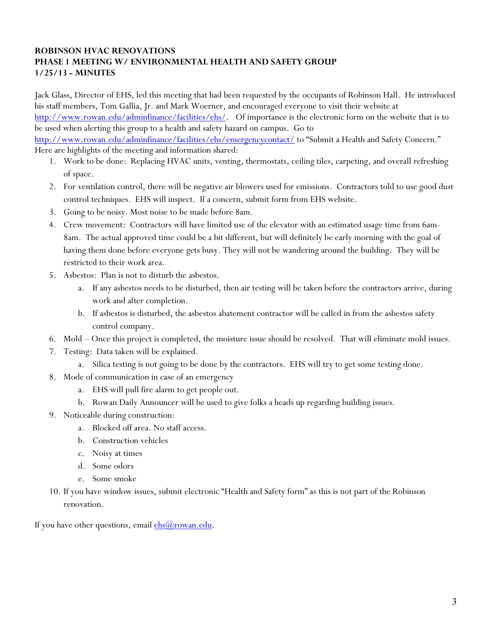## **ROBINSON HVAC RENOVATIONS PHASE 1 MEETING W/ ENVIRONMENTAL HEALTH AND SAFETY GROUP 1/25/13 - MINUTES**

Jack Glass, Director of EHS, led this meeting that had been requested by the occupants of Robinson Hall. He introduced his staff members, Tom Gallia, Jr. and Mark Woerner, and encouraged everyone to visit their website at http://www.rowan.edu/adminfinance/facilities/ehs/. Of importance is the electronic form on the website that is to be used when alerting this group to a health and safety hazard on campus. Go to

http://www.rowan.edu/adminfinance/facilities/ehs/emergencycontact/ to "Submit a Health and Safety Concern." Here are highlights of the meeting and information shared:

- 1. Work to be done: Replacing HVAC units, venting, thermostats, ceiling tiles, carpeting, and overall refreshing of space.
- 2. For ventilation control, there will be negative air blowers used for emissions. Contractors told to use good dust control techniques. EHS will inspect. If a concern, submit form from EHS website.
- 3. Going to be noisy. Most noise to be made before 8am.
- 4. Crew movement: Contractors will have limited use of the elevator with an estimated usage time from 6am-8am. The actual approved time could be a bit different, but will definitely be early morning with the goal of having them done before everyone gets busy. They will not be wandering around the building. They will be restricted to their work area.
- 5. Asbestos: Plan is not to disturb the asbestos.
	- a. If any asbestos needs to be disturbed, then air testing will be taken before the contractors arrive, during work and after completion.
	- b. If asbestos is disturbed, the asbestos abatement contractor will be called in from the asbestos safety control company.
- 6. Mold Once this project is completed, the moisture issue should be resolved. That will eliminate mold issues.
- 7. Testing: Data taken will be explained.
	- a. Silica testing is not going to be done by the contractors. EHS will try to get some testing done.
- 8. Mode of communication in case of an emergency
	- a. EHS will pull fire alarm to get people out.
	- b. Rowan Daily Announcer will be used to give folks a heads up regarding building issues.
- 9. Noticeable during construction:
	- a. Blocked off area. No staff access.
	- b. Construction vehicles
	- c. Noisy at times
	- d. Some odors
	- e. Some smoke
- 10. If you have window issues, submit electronic "Health and Safety form" as this is not part of the Robinson renovation.

If you have other questions, email  $ehs@rowan.edu$ .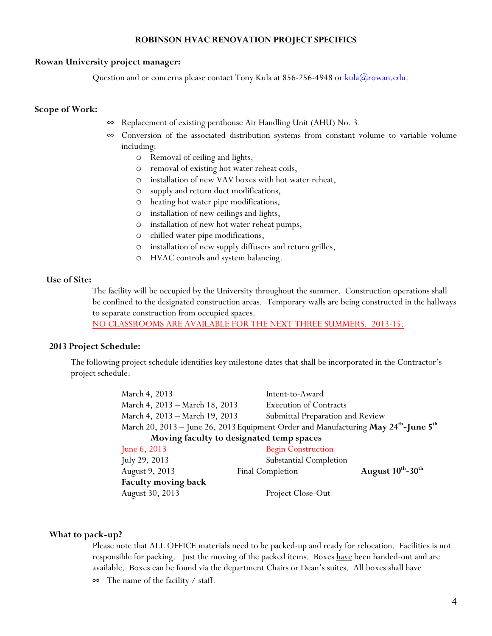#### **ROBINSON HVAC RENOVATION PROJECT SPECIFICS**

#### **Rowan University project manager:**

Question and or concerns please contact Tony Kula at 856-256-4948 or kula@rowan.edu.

### **Scope of Work:**

- $\infty$  Replacement of existing penthouse Air Handling Unit (AHU) No. 3.
- $\infty$  Conversion of the associated distribution systems from constant volume to variable volume including:
	- o Removal of ceiling and lights,
	- o removal of existing hot water reheat coils,
	- o installation of new VAV boxes with hot water reheat,
	- o supply and return duct modifications,
	- o heating hot water pipe modifications,
	- o installation of new ceilings and lights,
	- o installation of new hot water reheat pumps,
	- o chilled water pipe modifications,
	- o installation of new supply diffusers and return grilles,
	- o HVAC controls and system balancing.

#### **Use of Site:**

The facility will be occupied by the University throughout the summer. Construction operations shall be confined to the designated construction areas. Temporary walls are being constructed in the hallways to separate construction from occupied spaces.

NO CLASSROOMS ARE AVAILABLE FOR THE NEXT THREE SUMMERS. 2013-15.

### **2013 Project Schedule:**

The following project schedule identifies key milestone dates that shall be incorporated in the Contractor's project schedule:

| March 4, 2013                                                                                               | Intent-to-Award                                               |
|-------------------------------------------------------------------------------------------------------------|---------------------------------------------------------------|
| March 4, 2013 - March 18, 2013                                                                              | <b>Execution of Contracts</b>                                 |
| March 4, 2013 - March 19, 2013                                                                              | Submittal Preparation and Review                              |
| March 20, 2013 – June 26, 2013 Equipment Order and Manufacturing May 24 <sup>th</sup> -June 5 <sup>th</sup> |                                                               |
| Moving faculty to designated temp spaces                                                                    |                                                               |
| June $6, 2013$                                                                                              | <b>Begin Construction</b>                                     |
| July 29, 2013                                                                                               | Substantial Completion                                        |
| August 9, 2013                                                                                              | August $10^{\text{th}}$ -30 <sup>th</sup><br>Final Completion |
| <b>Faculty moving back</b>                                                                                  |                                                               |
| August 30, 2013                                                                                             | Project Close-Out                                             |

### **What to pack-up?**

Please note that ALL OFFICE materials need to be packed-up and ready for relocation. Facilities is not responsible for packing. Just the moving of the packed items. Boxes have been handed-out and are available. Boxes can be found via the department Chairs or Dean's suites. All boxes shall have  $\infty$  The name of the facility / staff.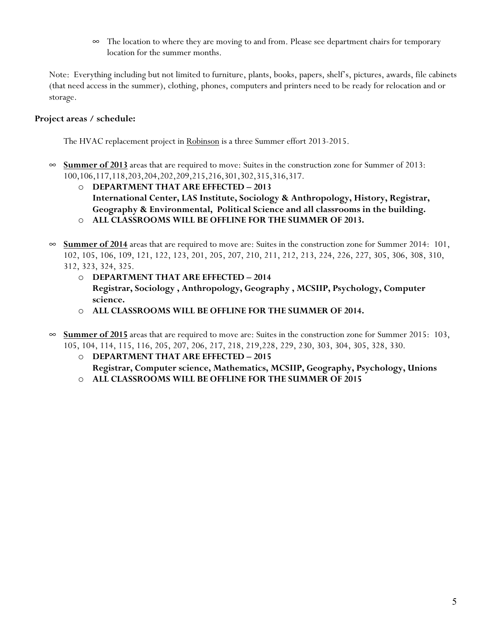$\infty$  The location to where they are moving to and from. Please see department chairs for temporary location for the summer months.

Note: Everything including but not limited to furniture, plants, books, papers, shelf's, pictures, awards, file cabinets (that need access in the summer), clothing, phones, computers and printers need to be ready for relocation and or storage.

## **Project areas / schedule:**

The HVAC replacement project in Robinson is a three Summer effort 2013-2015.

- $\infty$  **Summer of 2013** areas that are required to move: Suites in the construction zone for Summer of 2013: 100,106,117,118,203,204,202,209,215,216,301,302,315,316,317.
	- o **DEPARTMENT THAT ARE EFFECTED – 2013 International Center, LAS Institute, Sociology & Anthropology, History, Registrar, Geography & Environmental, Political Science and all classrooms in the building.**  o **ALL CLASSROOMS WILL BE OFFLINE FOR THE SUMMER OF 2013.**
- $\infty$  **Summer of 2014** areas that are required to move are: Suites in the construction zone for Summer 2014: 101, 102, 105, 106, 109, 121, 122, 123, 201, 205, 207, 210, 211, 212, 213, 224, 226, 227, 305, 306, 308, 310,

312, 323, 324, 325.

- o **DEPARTMENT THAT ARE EFFECTED – 2014 Registrar, Sociology , Anthropology, Geography , MCSIIP, Psychology, Computer science.**
- o **ALL CLASSROOMS WILL BE OFFLINE FOR THE SUMMER OF 2014.**
- **Summer of 2015** areas that are required to move are: Suites in the construction zone for Summer 2015: 103, 105, 104, 114, 115, 116, 205, 207, 206, 217, 218, 219,228, 229, 230, 303, 304, 305, 328, 330.
	- o **DEPARTMENT THAT ARE EFFECTED – 2015 Registrar, Computer science, Mathematics, MCSIIP, Geography, Psychology, Unions**
	- o **ALL CLASSROOMS WILL BE OFFLINE FOR THE SUMMER OF 2015**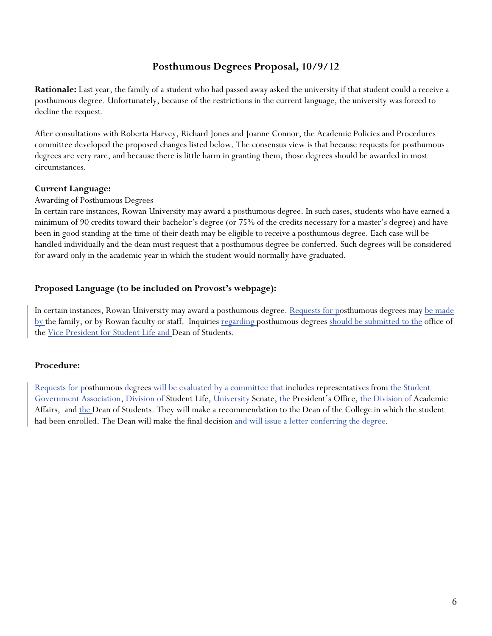# **Posthumous Degrees Proposal, 10/9/12**

**Rationale:** Last year, the family of a student who had passed away asked the university if that student could a receive a posthumous degree. Unfortunately, because of the restrictions in the current language, the university was forced to decline the request.

After consultations with Roberta Harvey, Richard Jones and Joanne Connor, the Academic Policies and Procedures committee developed the proposed changes listed below. The consensus view is that because requests for posthumous degrees are very rare, and because there is little harm in granting them, those degrees should be awarded in most circumstances.

### **Current Language:**

#### Awarding of Posthumous Degrees

In certain rare instances, Rowan University may award a posthumous degree. In such cases, students who have earned a minimum of 90 credits toward their bachelor's degree (or 75% of the credits necessary for a master's degree) and have been in good standing at the time of their death may be eligible to receive a posthumous degree. Each case will be handled individually and the dean must request that a posthumous degree be conferred. Such degrees will be considered for award only in the academic year in which the student would normally have graduated.

### **Proposed Language (to be included on Provost's webpage):**

In certain instances, Rowan University may award a posthumous degree. Requests for posthumous degrees may be made by the family, or by Rowan faculty or staff. Inquiries regarding posthumous degrees should be submitted to the office of the Vice President for Student Life and Dean of Students.

### **Procedure:**

Requests for posthumous degrees will be evaluated by a committee that includes representatives from the Student Government Association, Division of Student Life, University Senate, the President's Office, the Division of Academic Affairs, and the Dean of Students. They will make a recommendation to the Dean of the College in which the student had been enrolled. The Dean will make the final decision and will issue a letter conferring the degree.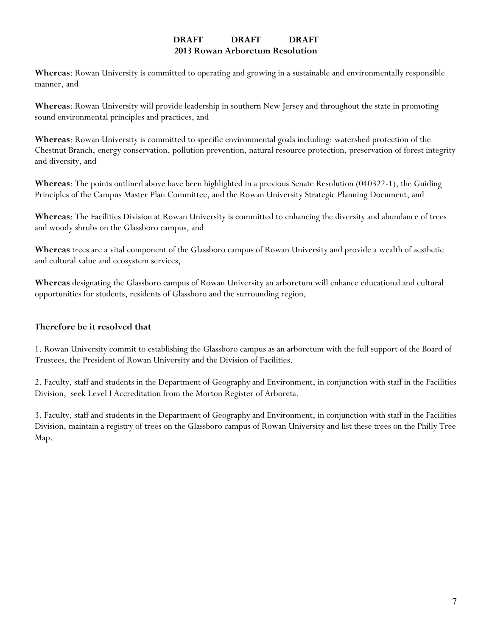### **DRAFT DRAFT DRAFT 2013 Rowan Arboretum Resolution**

**Whereas**: Rowan University is committed to operating and growing in a sustainable and environmentally responsible manner, and

**Whereas**: Rowan University will provide leadership in southern New Jersey and throughout the state in promoting sound environmental principles and practices, and

**Whereas**: Rowan University is committed to specific environmental goals including: watershed protection of the Chestnut Branch, energy conservation, pollution prevention, natural resource protection, preservation of forest integrity and diversity, and

**Whereas**: The points outlined above have been highlighted in a previous Senate Resolution (040322-1), the Guiding Principles of the Campus Master Plan Committee, and the Rowan University Strategic Planning Document, and

**Whereas**: The Facilities Division at Rowan University is committed to enhancing the diversity and abundance of trees and woody shrubs on the Glassboro campus, and

**Whereas** trees are a vital component of the Glassboro campus of Rowan University and provide a wealth of aesthetic and cultural value and ecosystem services,

**Whereas** designating the Glassboro campus of Rowan University an arboretum will enhance educational and cultural opportunities for students, residents of Glassboro and the surrounding region,

## **Therefore be it resolved that**

1. Rowan University commit to establishing the Glassboro campus as an arboretum with the full support of the Board of Trustees, the President of Rowan University and the Division of Facilities.

2. Faculty, staff and students in the Department of Geography and Environment, in conjunction with staff in the Facilities Division, seek Level I Accreditation from the Morton Register of Arboreta.

3. Faculty, staff and students in the Department of Geography and Environment, in conjunction with staff in the Facilities Division, maintain a registry of trees on the Glassboro campus of Rowan University and list these trees on the Philly Tree Map.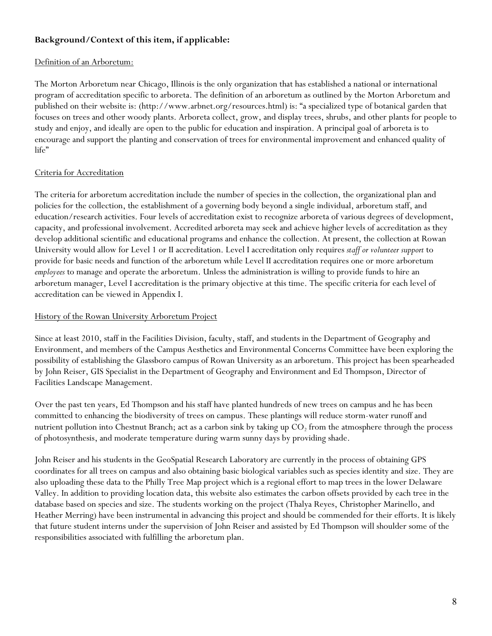## **Background/Context of this item, if applicable:**

## Definition of an Arboretum:

The Morton Arboretum near Chicago, Illinois is the only organization that has established a national or international program of accreditation specific to arboreta. The definition of an arboretum as outlined by the Morton Arboretum and published on their website is: (http://www.arbnet.org/resources.html) is: "a specialized type of botanical garden that focuses on trees and other woody plants. Arboreta collect, grow, and display trees, shrubs, and other plants for people to study and enjoy, and ideally are open to the public for education and inspiration. A principal goal of arboreta is to encourage and support the planting and conservation of trees for environmental improvement and enhanced quality of life"

## Criteria for Accreditation

The criteria for arboretum accreditation include the number of species in the collection, the organizational plan and policies for the collection, the establishment of a governing body beyond a single individual, arboretum staff, and education/research activities. Four levels of accreditation exist to recognize arboreta of various degrees of development, capacity, and professional involvement. Accredited arboreta may seek and achieve higher levels of accreditation as they develop additional scientific and educational programs and enhance the collection. At present, the collection at Rowan University would allow for Level 1 or II accreditation. Level I accreditation only requires *staff or volunteer support* to provide for basic needs and function of the arboretum while Level II accreditation requires one or more arboretum *employees* to manage and operate the arboretum. Unless the administration is willing to provide funds to hire an arboretum manager, Level I accreditation is the primary objective at this time. The specific criteria for each level of accreditation can be viewed in Appendix I.

## History of the Rowan University Arboretum Project

Since at least 2010, staff in the Facilities Division, faculty, staff, and students in the Department of Geography and Environment, and members of the Campus Aesthetics and Environmental Concerns Committee have been exploring the possibility of establishing the Glassboro campus of Rowan University as an arboretum. This project has been spearheaded by John Reiser, GIS Specialist in the Department of Geography and Environment and Ed Thompson, Director of Facilities Landscape Management.

Over the past ten years, Ed Thompson and his staff have planted hundreds of new trees on campus and he has been committed to enhancing the biodiversity of trees on campus. These plantings will reduce storm-water runoff and nutrient pollution into Chestnut Branch; act as a carbon sink by taking up  $CO<sub>2</sub>$  from the atmosphere through the process of photosynthesis, and moderate temperature during warm sunny days by providing shade.

John Reiser and his students in the GeoSpatial Research Laboratory are currently in the process of obtaining GPS coordinates for all trees on campus and also obtaining basic biological variables such as species identity and size. They are also uploading these data to the Philly Tree Map project which is a regional effort to map trees in the lower Delaware Valley. In addition to providing location data, this website also estimates the carbon offsets provided by each tree in the database based on species and size. The students working on the project (Thalya Reyes, Christopher Marinello, and Heather Merring) have been instrumental in advancing this project and should be commended for their efforts. It is likely that future student interns under the supervision of John Reiser and assisted by Ed Thompson will shoulder some of the responsibilities associated with fulfilling the arboretum plan.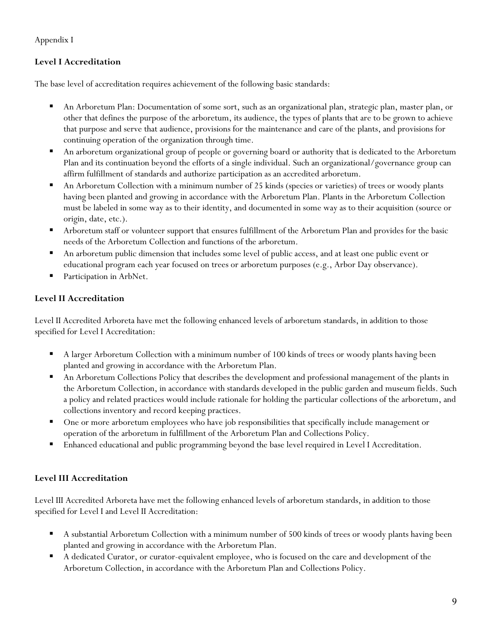# Appendix I

# **Level I Accreditation**

The base level of accreditation requires achievement of the following basic standards:

- An Arboretum Plan: Documentation of some sort, such as an organizational plan, strategic plan, master plan, or other that defines the purpose of the arboretum, its audience, the types of plants that are to be grown to achieve that purpose and serve that audience, provisions for the maintenance and care of the plants, and provisions for continuing operation of the organization through time.
- An arboretum organizational group of people or governing board or authority that is dedicated to the Arboretum Plan and its continuation beyond the efforts of a single individual. Such an organizational/governance group can affirm fulfillment of standards and authorize participation as an accredited arboretum.
- An Arboretum Collection with a minimum number of 25 kinds (species or varieties) of trees or woody plants having been planted and growing in accordance with the Arboretum Plan. Plants in the Arboretum Collection must be labeled in some way as to their identity, and documented in some way as to their acquisition (source or origin, date, etc.).
- Arboretum staff or volunteer support that ensures fulfillment of the Arboretum Plan and provides for the basic needs of the Arboretum Collection and functions of the arboretum.
- An arboretum public dimension that includes some level of public access, and at least one public event or educational program each year focused on trees or arboretum purposes (e.g., Arbor Day observance).
- Participation in ArbNet.

# **Level II Accreditation**

Level II Accredited Arboreta have met the following enhanced levels of arboretum standards, in addition to those specified for Level I Accreditation:

- A larger Arboretum Collection with a minimum number of 100 kinds of trees or woody plants having been planted and growing in accordance with the Arboretum Plan.
- An Arboretum Collections Policy that describes the development and professional management of the plants in the Arboretum Collection, in accordance with standards developed in the public garden and museum fields. Such a policy and related practices would include rationale for holding the particular collections of the arboretum, and collections inventory and record keeping practices.
- **One or more arboretum employees who have job responsibilities that specifically include management or** operation of the arboretum in fulfillment of the Arboretum Plan and Collections Policy.
- Enhanced educational and public programming beyond the base level required in Level I Accreditation.

# **Level III Accreditation**

Level III Accredited Arboreta have met the following enhanced levels of arboretum standards, in addition to those specified for Level I and Level II Accreditation:

- A substantial Arboretum Collection with a minimum number of 500 kinds of trees or woody plants having been planted and growing in accordance with the Arboretum Plan.
- A dedicated Curator, or curator-equivalent employee, who is focused on the care and development of the Arboretum Collection, in accordance with the Arboretum Plan and Collections Policy.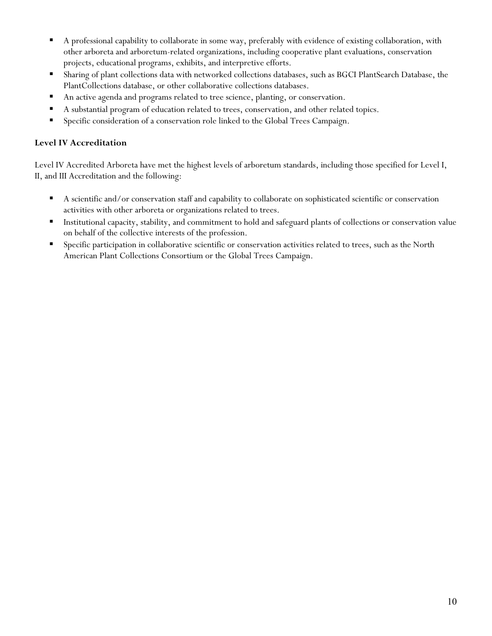- A professional capability to collaborate in some way, preferably with evidence of existing collaboration, with other arboreta and arboretum-related organizations, including cooperative plant evaluations, conservation projects, educational programs, exhibits, and interpretive efforts.
- Sharing of plant collections data with networked collections databases, such as BGCI PlantSearch Database, the PlantCollections database, or other collaborative collections databases.
- An active agenda and programs related to tree science, planting, or conservation.
- A substantial program of education related to trees, conservation, and other related topics.
- Specific consideration of a conservation role linked to the Global Trees Campaign.

## **Level IV Accreditation**

Level IV Accredited Arboreta have met the highest levels of arboretum standards, including those specified for Level I, II, and III Accreditation and the following:

- A scientific and/or conservation staff and capability to collaborate on sophisticated scientific or conservation activities with other arboreta or organizations related to trees.
- Institutional capacity, stability, and commitment to hold and safeguard plants of collections or conservation value on behalf of the collective interests of the profession.
- **Specific participation in collaborative scientific or conservation activities related to trees, such as the North** American Plant Collections Consortium or the Global Trees Campaign.